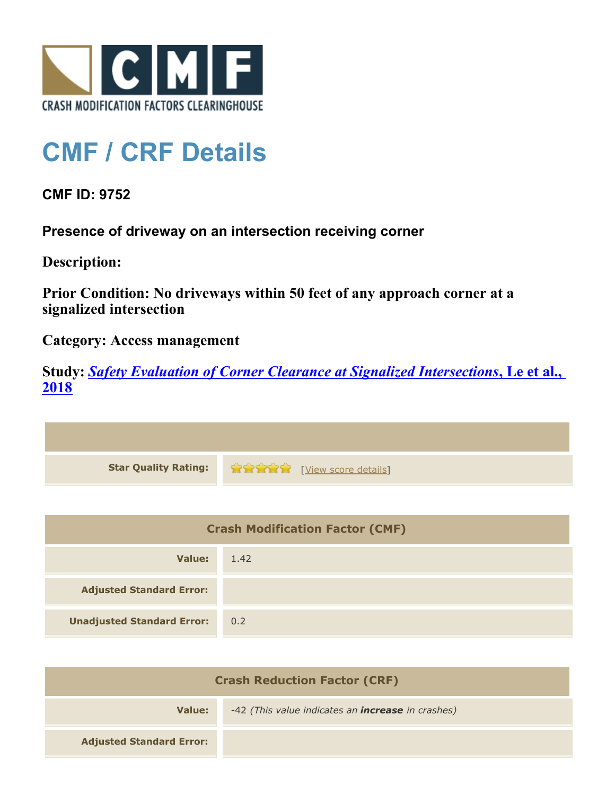

## **CMF / CRF Details**

## **CMF ID: 9752**

**Presence of driveway on an intersection receiving corner**

**Description:** 

**Prior Condition: No driveways within 50 feet of any approach corner at a signalized intersection**

**Category: Access management**

**Study:** *[Safety Evaluation of Corner Clearance at Signalized Intersections](http://www.cmfclearinghouse.org/study_detail.cfm?stid=543)***[, Le et al.,](http://www.cmfclearinghouse.org/study_detail.cfm?stid=543) [2018](http://www.cmfclearinghouse.org/study_detail.cfm?stid=543)**

| <b>Star Quality Rating:</b> | <b>Extra Extra Extra Extra Extra Extra Extra Extra Extra Extra Extra Extra Extra Extra Extra Extra Extra Extra Extra Extra Extra Extra Extra Extra Extra Extra Extra Extra Extra Extra Extra Extra Extra Extra Extra Extra Extra</b> |
|-----------------------------|--------------------------------------------------------------------------------------------------------------------------------------------------------------------------------------------------------------------------------------|

| <b>Crash Modification Factor (CMF)</b> |      |
|----------------------------------------|------|
| Value:                                 | 1.42 |
| <b>Adjusted Standard Error:</b>        |      |
| <b>Unadjusted Standard Error:</b>      | 0.2  |

| <b>Crash Reduction Factor (CRF)</b> |                                                          |
|-------------------------------------|----------------------------------------------------------|
| Value:                              | -42 (This value indicates an <b>increase</b> in crashes) |
| <b>Adjusted Standard Error:</b>     |                                                          |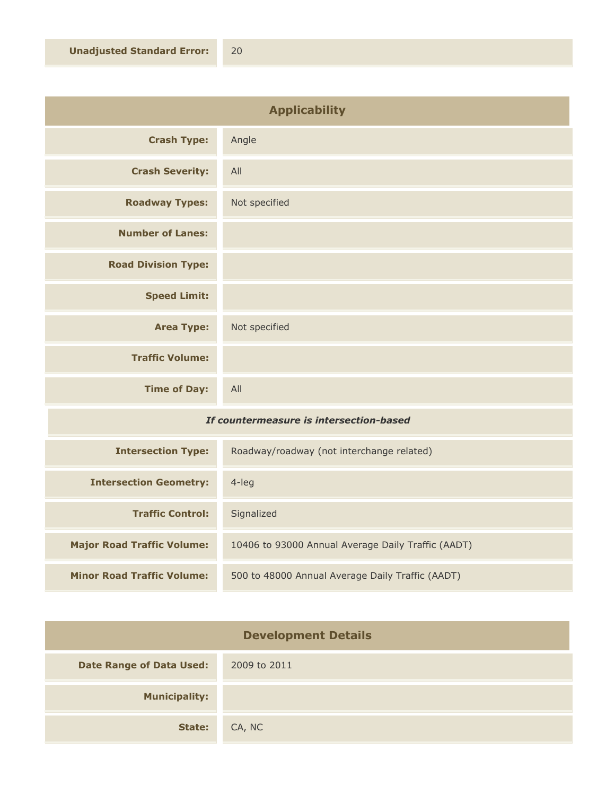| <b>Applicability</b>       |               |
|----------------------------|---------------|
| <b>Crash Type:</b>         | Angle         |
| <b>Crash Severity:</b>     | All           |
| <b>Roadway Types:</b>      | Not specified |
| <b>Number of Lanes:</b>    |               |
| <b>Road Division Type:</b> |               |
| <b>Speed Limit:</b>        |               |
| <b>Area Type:</b>          | Not specified |
| <b>Traffic Volume:</b>     |               |
| <b>Time of Day:</b>        | All           |

## *If countermeasure is intersection-based*

| <b>Intersection Type:</b>         | Roadway/roadway (not interchange related)          |
|-----------------------------------|----------------------------------------------------|
| <b>Intersection Geometry:</b>     | $4$ -leg                                           |
| <b>Traffic Control:</b>           | Signalized                                         |
| <b>Major Road Traffic Volume:</b> | 10406 to 93000 Annual Average Daily Traffic (AADT) |
| <b>Minor Road Traffic Volume:</b> | 500 to 48000 Annual Average Daily Traffic (AADT)   |

| <b>Development Details</b>      |              |
|---------------------------------|--------------|
| <b>Date Range of Data Used:</b> | 2009 to 2011 |
| <b>Municipality:</b>            |              |
| State:                          | CA, NC       |